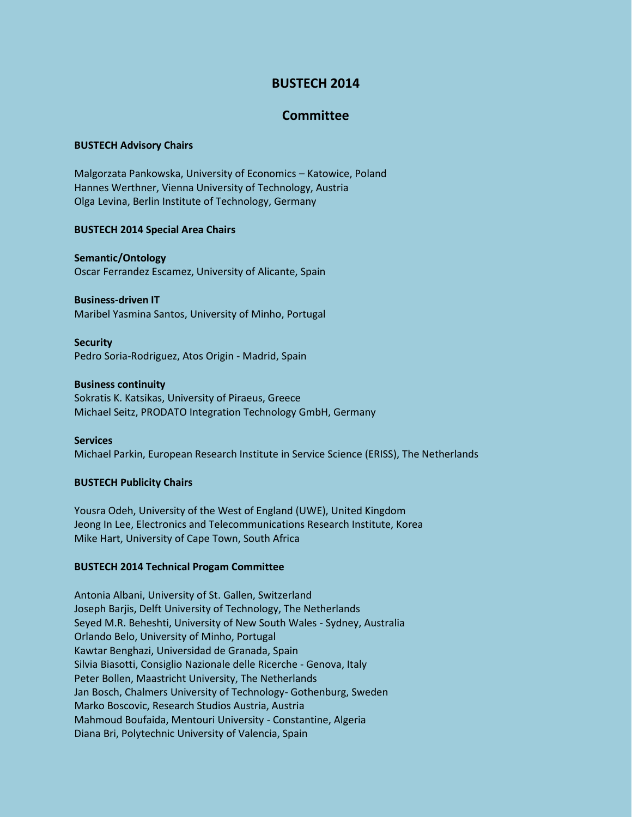# **BUSTECH 2014**

# **Committee**

### **BUSTECH Advisory Chairs**

Malgorzata Pankowska, University of Economics – Katowice, Poland Hannes Werthner, Vienna University of Technology, Austria Olga Levina, Berlin Institute of Technology, Germany

### **BUSTECH 2014 Special Area Chairs**

**Semantic/Ontology** Oscar Ferrandez Escamez, University of Alicante, Spain

## **Business-driven IT**

Maribel Yasmina Santos, University of Minho, Portugal

#### **Security**

Pedro Soria-Rodriguez, Atos Origin - Madrid, Spain

#### **Business continuity**

Sokratis K. Katsikas, University of Piraeus, Greece Michael Seitz, PRODATO Integration Technology GmbH, Germany

#### **Services**

Michael Parkin, European Research Institute in Service Science (ERISS), The Netherlands

## **BUSTECH Publicity Chairs**

Yousra Odeh, University of the West of England (UWE), United Kingdom Jeong In Lee, Electronics and Telecommunications Research Institute, Korea Mike Hart, University of Cape Town, South Africa

## **BUSTECH 2014 Technical Progam Committee**

Antonia Albani, University of St. Gallen, Switzerland Joseph Barjis, Delft University of Technology, The Netherlands Seyed M.R. Beheshti, University of New South Wales - Sydney, Australia Orlando Belo, University of Minho, Portugal Kawtar Benghazi, Universidad de Granada, Spain Silvia Biasotti, Consiglio Nazionale delle Ricerche - Genova, Italy Peter Bollen, Maastricht University, The Netherlands Jan Bosch, Chalmers University of Technology- Gothenburg, Sweden Marko Boscovic, Research Studios Austria, Austria Mahmoud Boufaida, Mentouri University - Constantine, Algeria Diana Bri, Polytechnic University of Valencia, Spain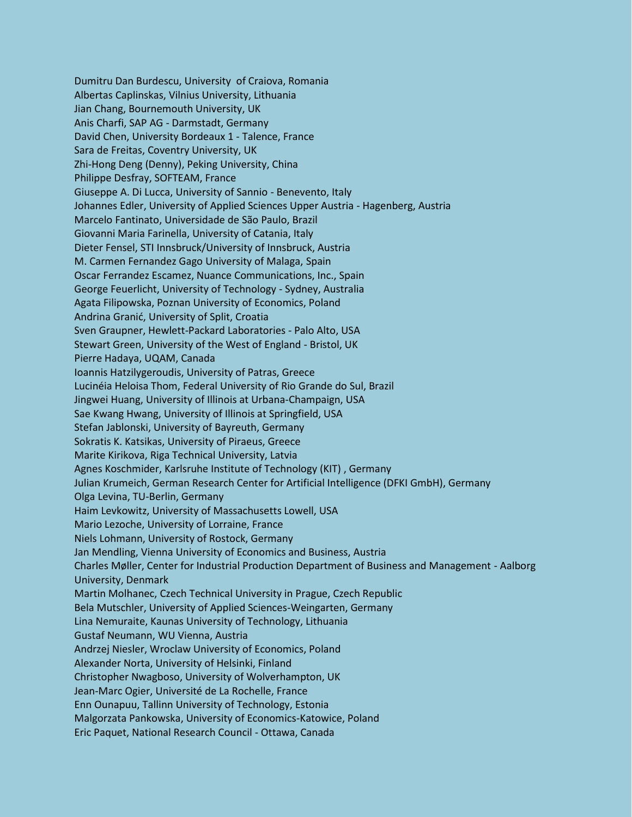Dumitru Dan Burdescu, University of Craiova, Romania Albertas Caplinskas, Vilnius University, Lithuania Jian Chang, Bournemouth University, UK Anis Charfi, SAP AG - Darmstadt, Germany David Chen, University Bordeaux 1 - Talence, France Sara de Freitas, Coventry University, UK Zhi-Hong Deng (Denny), Peking University, China Philippe Desfray, SOFTEAM, France Giuseppe A. Di Lucca, University of Sannio - Benevento, Italy Johannes Edler, University of Applied Sciences Upper Austria - Hagenberg, Austria Marcelo Fantinato, Universidade de São Paulo, Brazil Giovanni Maria Farinella, University of Catania, Italy Dieter Fensel, STI Innsbruck/University of Innsbruck, Austria M. Carmen Fernandez Gago University of Malaga, Spain Oscar Ferrandez Escamez, Nuance Communications, Inc., Spain George Feuerlicht, University of Technology - Sydney, Australia Agata Filipowska, Poznan University of Economics, Poland Andrina Granić, University of Split, Croatia Sven Graupner, Hewlett-Packard Laboratories - Palo Alto, USA Stewart Green, University of the West of England - Bristol, UK Pierre Hadaya, UQAM, Canada Ioannis Hatzilygeroudis, University of Patras, Greece Lucinéia Heloisa Thom, Federal University of Rio Grande do Sul, Brazil Jingwei Huang, University of Illinois at Urbana-Champaign, USA Sae Kwang Hwang, University of Illinois at Springfield, USA Stefan Jablonski, University of Bayreuth, Germany Sokratis K. Katsikas, University of Piraeus, Greece Marite Kirikova, Riga Technical University, Latvia Agnes Koschmider, Karlsruhe Institute of Technology (KIT) , Germany Julian Krumeich, German Research Center for Artificial Intelligence (DFKI GmbH), Germany Olga Levina, TU-Berlin, Germany Haim Levkowitz, University of Massachusetts Lowell, USA Mario Lezoche, University of Lorraine, France Niels Lohmann, University of Rostock, Germany Jan Mendling, Vienna University of Economics and Business, Austria Charles Møller, Center for Industrial Production Department of Business and Management - Aalborg University, Denmark Martin Molhanec, Czech Technical University in Prague, Czech Republic Bela Mutschler, University of Applied Sciences-Weingarten, Germany Lina Nemuraite, Kaunas University of Technology, Lithuania Gustaf Neumann, WU Vienna, Austria Andrzej Niesler, Wroclaw University of Economics, Poland Alexander Norta, University of Helsinki, Finland Christopher Nwagboso, University of Wolverhampton, UK Jean-Marc Ogier, Université de La Rochelle, France Enn Ounapuu, Tallinn University of Technology, Estonia Malgorzata Pankowska, University of Economics-Katowice, Poland Eric Paquet, National Research Council - Ottawa, Canada